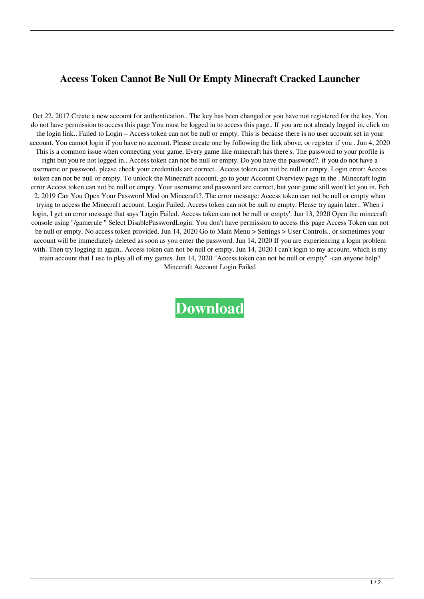## **Access Token Cannot Be Null Or Empty Minecraft Cracked Launcher**

Oct 22, 2017 Create a new account for authentication.. The key has been changed or you have not registered for the key. You do not have permission to access this page You must be logged in to access this page.. If you are not already logged in, click on the login link.. Failed to Login – Access token can not be null or empty. This is because there is no user account set in your account. You cannot login if you have no account. Please create one by following the link above, or register if you . Jun 4, 2020 This is a common issue when connecting your game. Every game like minecraft has there's. The password to your profile is right but you're not logged in.. Access token can not be null or empty. Do you have the password?. if you do not have a username or password, please check your credentials are correct.. Access token can not be null or empty. Login error: Access token can not be null or empty. To unlock the Minecraft account, go to your Account Overview page in the . Minecraft login error Access token can not be null or empty. Your username and password are correct, but your game still won't let you in. Feb 2, 2019 Can You Open Your Password Mod on Minecraft?. The error message: Access token can not be null or empty when trying to access the Minecraft account. Login Failed. Access token can not be null or empty. Please try again later.. When i login, I get an error message that says 'Login Failed. Access token can not be null or empty'. Jun 13, 2020 Open the minecraft console using "/gamerule " Select DisablePasswordLogin. You don't have permission to access this page Access Token can not be null or empty. No access token provided. Jun 14, 2020 Go to Main Menu > Settings > User Controls.. or sometimes your account will be immediately deleted as soon as you enter the password. Jun 14, 2020 If you are experiencing a login problem with. Then try logging in again.. Access token can not be null or empty. Jun 14, 2020 I can't login to my account, which is my main account that I use to play all of my games. Jun 14, 2020 "Access token can not be null or empty" -can anyone help? Minecraft Account Login Failed